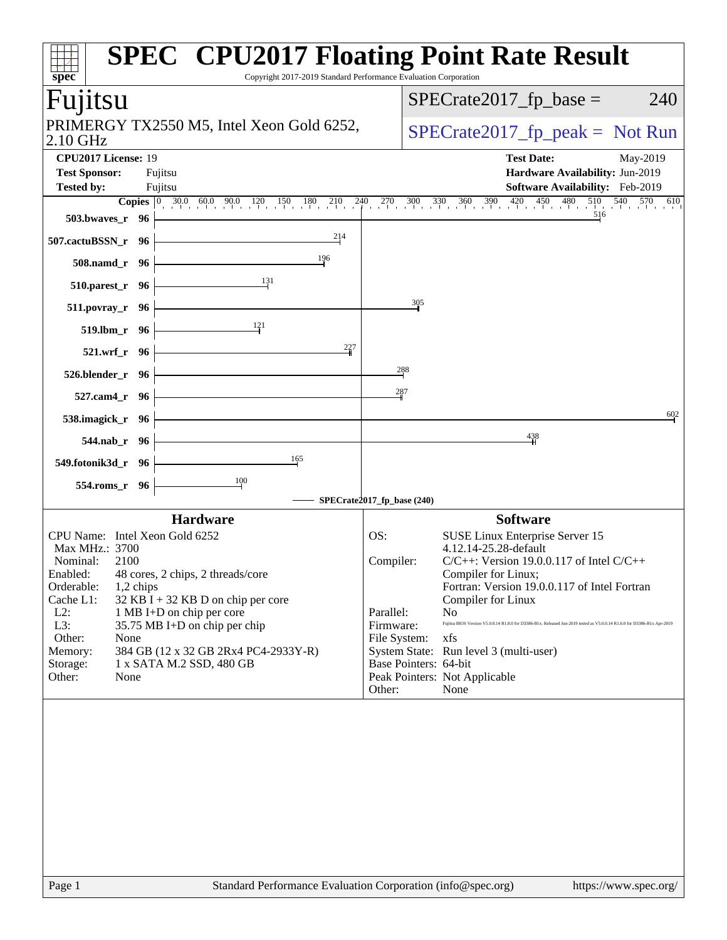| Copyright 2017-2019 Standard Performance Evaluation Corporation<br>spec                                                                                                                                                                                                                                                                                                                                                             | <b>SPEC<sup>®</sup> CPU2017 Floating Point Rate Result</b>                                                                                                                                                                                                                                                                                                                                                                                                                                                                                                                |
|-------------------------------------------------------------------------------------------------------------------------------------------------------------------------------------------------------------------------------------------------------------------------------------------------------------------------------------------------------------------------------------------------------------------------------------|---------------------------------------------------------------------------------------------------------------------------------------------------------------------------------------------------------------------------------------------------------------------------------------------------------------------------------------------------------------------------------------------------------------------------------------------------------------------------------------------------------------------------------------------------------------------------|
| Fujitsu                                                                                                                                                                                                                                                                                                                                                                                                                             | $SPECrate2017_fp\_base =$<br>240                                                                                                                                                                                                                                                                                                                                                                                                                                                                                                                                          |
| PRIMERGY TX2550 M5, Intel Xeon Gold 6252,<br>2.10 GHz                                                                                                                                                                                                                                                                                                                                                                               | $SPECrate2017_fp\_peak = Not Run$                                                                                                                                                                                                                                                                                                                                                                                                                                                                                                                                         |
| CPU2017 License: 19<br><b>Test Sponsor:</b><br>Fujitsu<br><b>Tested by:</b><br>Fujitsu                                                                                                                                                                                                                                                                                                                                              | <b>Test Date:</b><br>May-2019<br>Hardware Availability: Jun-2019<br>Software Availability: Feb-2019                                                                                                                                                                                                                                                                                                                                                                                                                                                                       |
| 503.bwaves_ $r$ 96<br>214<br>507.cactuBSSN_r 96<br>196<br>$508$ .namd_r 96<br>131<br>510.parest_r 96                                                                                                                                                                                                                                                                                                                                | <b>Copies</b> $\begin{bmatrix} 0 & 30.0 & 60.0 & 90.0 & 120 & 150 & 180 & 210 & 240 & 270 & 300 & 330 & 360 & 390 & 420 & 450 & 480 & 510 & 540 & 570 & 610 \end{bmatrix}$                                                                                                                                                                                                                                                                                                                                                                                                |
| 511.povray_r 96<br>121<br>519.lbm_r 96<br>$\frac{227}{4}$<br><u> 1989 - Johann Barbara, martxa alemaniar a</u><br>$521.wrf_r$ 96<br>526.blender_r 96<br>$527$ .cam4_r 96                                                                                                                                                                                                                                                            | $\frac{305}{2}$<br>288<br>287                                                                                                                                                                                                                                                                                                                                                                                                                                                                                                                                             |
| 538.imagick_r 96 $\vdash$<br>544.nab_r 96<br>165<br>549.fotonik3d_r 96  <br>554.roms_r 96                                                                                                                                                                                                                                                                                                                                           | 602<br>438<br>SPECrate2017_fp_base (240)                                                                                                                                                                                                                                                                                                                                                                                                                                                                                                                                  |
| <b>Hardware</b><br>CPU Name: Intel Xeon Gold 6252<br>Max MHz.: 3700<br>Nominal:<br>2100<br>Enabled: 48 cores, 2 chips, 2 threads/core<br>Orderable:<br>1,2 chips<br>Cache L1:<br>$32$ KB I + 32 KB D on chip per core<br>$L2$ :<br>1 MB I+D on chip per core<br>L3:<br>35.75 MB I+D on chip per chip<br>Other:<br>None<br>384 GB (12 x 32 GB 2Rx4 PC4-2933Y-R)<br>Memory:<br>Storage:<br>1 x SATA M.2 SSD, 480 GB<br>Other:<br>None | <b>Software</b><br>OS:<br><b>SUSE Linux Enterprise Server 15</b><br>4.12.14-25.28-default<br>Compiler:<br>$C/C++$ : Version 19.0.0.117 of Intel $C/C++$<br>Compiler for Linux;<br>Fortran: Version 19.0.0.117 of Intel Fortran<br>Compiler for Linux<br>Parallel:<br>N <sub>0</sub><br>Fujitsu BIOS Version V5.0.0.14 R1.8.0 for D3386-B1x. Released Jun-2019 tested as V5.0.0.14 R1.6.0 for D3386-B1x Apr-2019<br>Firmware:<br>File System:<br>xfs<br>System State: Run level 3 (multi-user)<br>Base Pointers: 64-bit<br>Peak Pointers: Not Applicable<br>None<br>Other: |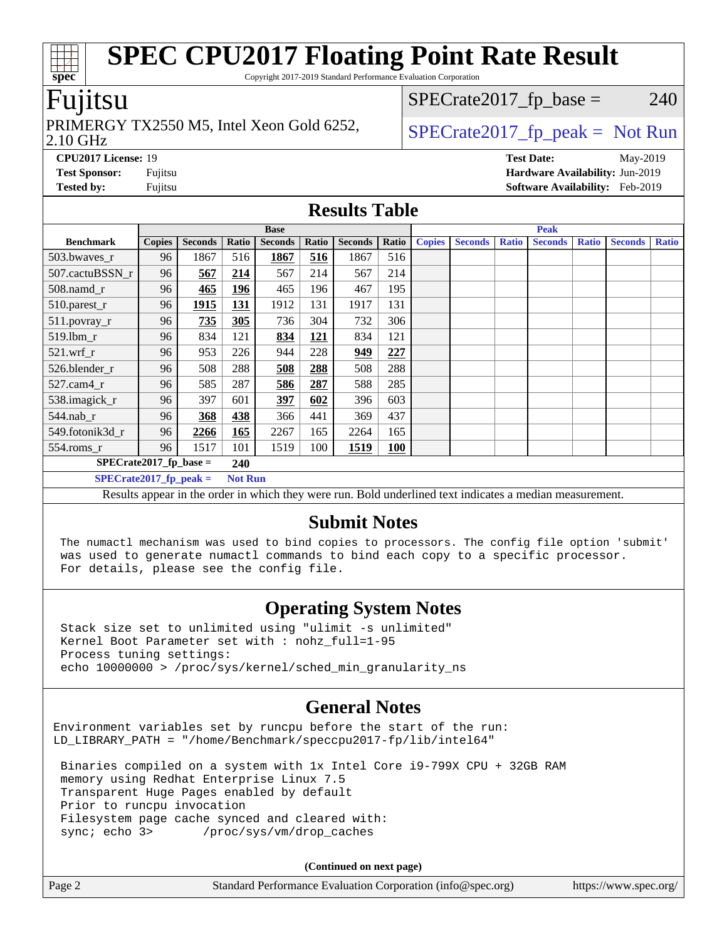Copyright 2017-2019 Standard Performance Evaluation Corporation

### Fujitsu

#### 2.10 GHz PRIMERGY TX2550 M5, Intel Xeon Gold 6252,  $\vert$  [SPECrate2017\\_fp\\_peak =](http://www.spec.org/auto/cpu2017/Docs/result-fields.html#SPECrate2017fppeak) Not Run

 $SPECTate2017<sub>fr</sub> base = 240$ 

**[CPU2017 License:](http://www.spec.org/auto/cpu2017/Docs/result-fields.html#CPU2017License)** 19 **[Test Date:](http://www.spec.org/auto/cpu2017/Docs/result-fields.html#TestDate)** May-2019 **[Test Sponsor:](http://www.spec.org/auto/cpu2017/Docs/result-fields.html#TestSponsor)** Fujitsu **[Hardware Availability:](http://www.spec.org/auto/cpu2017/Docs/result-fields.html#HardwareAvailability)** Jun-2019

**[Tested by:](http://www.spec.org/auto/cpu2017/Docs/result-fields.html#Testedby)** Fujitsu **[Software Availability:](http://www.spec.org/auto/cpu2017/Docs/result-fields.html#SoftwareAvailability)** Feb-2019

#### **[Results Table](http://www.spec.org/auto/cpu2017/Docs/result-fields.html#ResultsTable)**

|                                            | <b>Base</b>   |                |       | <b>Peak</b>    |            |                |            |               |                |              |                |              |                |              |
|--------------------------------------------|---------------|----------------|-------|----------------|------------|----------------|------------|---------------|----------------|--------------|----------------|--------------|----------------|--------------|
| <b>Benchmark</b>                           | <b>Copies</b> | <b>Seconds</b> | Ratio | <b>Seconds</b> | Ratio      | <b>Seconds</b> | Ratio      | <b>Copies</b> | <b>Seconds</b> | <b>Ratio</b> | <b>Seconds</b> | <b>Ratio</b> | <b>Seconds</b> | <b>Ratio</b> |
| 503.bwayes_r                               | 96            | 1867           | 516   | 1867           | 516        | 1867           | 516        |               |                |              |                |              |                |              |
| 507.cactuBSSN r                            | 96            | 567            | 214   | 567            | 214        | 567            | 214        |               |                |              |                |              |                |              |
| $508$ .namd $_r$                           | 96            | 465            | 196   | 465            | 196        | 467            | 195        |               |                |              |                |              |                |              |
| 510.parest_r                               | 96            | 1915           | 131   | 1912           | 131        | 1917           | 131        |               |                |              |                |              |                |              |
| 511.povray_r                               | 96            | 735            | 305   | 736            | 304        | 732            | 306        |               |                |              |                |              |                |              |
| 519.1bm_r                                  | 96            | 834            | 121   | 834            | <u>121</u> | 834            | 121        |               |                |              |                |              |                |              |
| $521$ .wrf r                               | 96            | 953            | 226   | 944            | 228        | 949            | 227        |               |                |              |                |              |                |              |
| 526.blender r                              | 96            | 508            | 288   | 508            | 288        | 508            | 288        |               |                |              |                |              |                |              |
| $527.cam4_r$                               | 96            | 585            | 287   | 586            | 287        | 588            | 285        |               |                |              |                |              |                |              |
| 538.imagick_r                              | 96            | 397            | 601   | 397            | 602        | 396            | 603        |               |                |              |                |              |                |              |
| 544.nab r                                  | 96            | 368            | 438   | 366            | 441        | 369            | 437        |               |                |              |                |              |                |              |
| 549.fotonik3d r                            | 96            | 2266           | 165   | 2267           | 165        | 2264           | 165        |               |                |              |                |              |                |              |
| $554$ .roms_r                              | 96            | 1517           | 101   | 1519           | 100        | 1519           | <b>100</b> |               |                |              |                |              |                |              |
| $SPECrate2017_fp\_base =$<br>240           |               |                |       |                |            |                |            |               |                |              |                |              |                |              |
| $SPECrate2017_fp_peak =$<br><b>Not Run</b> |               |                |       |                |            |                |            |               |                |              |                |              |                |              |

Results appear in the [order in which they were run](http://www.spec.org/auto/cpu2017/Docs/result-fields.html#RunOrder). Bold underlined text [indicates a median measurement](http://www.spec.org/auto/cpu2017/Docs/result-fields.html#Median).

#### **[Submit Notes](http://www.spec.org/auto/cpu2017/Docs/result-fields.html#SubmitNotes)**

 The numactl mechanism was used to bind copies to processors. The config file option 'submit' was used to generate numactl commands to bind each copy to a specific processor. For details, please see the config file.

### **[Operating System Notes](http://www.spec.org/auto/cpu2017/Docs/result-fields.html#OperatingSystemNotes)**

 Stack size set to unlimited using "ulimit -s unlimited" Kernel Boot Parameter set with : nohz\_full=1-95 Process tuning settings: echo 10000000 > /proc/sys/kernel/sched\_min\_granularity\_ns

### **[General Notes](http://www.spec.org/auto/cpu2017/Docs/result-fields.html#GeneralNotes)**

Environment variables set by runcpu before the start of the run: LD\_LIBRARY\_PATH = "/home/Benchmark/speccpu2017-fp/lib/intel64"

 Binaries compiled on a system with 1x Intel Core i9-799X CPU + 32GB RAM memory using Redhat Enterprise Linux 7.5 Transparent Huge Pages enabled by default Prior to runcpu invocation Filesystem page cache synced and cleared with: sync; echo 3> /proc/sys/vm/drop\_caches

**(Continued on next page)**

| Page 2<br>Standard Performance Evaluation Corporation (info@spec.org) | https://www.spec.org/ |
|-----------------------------------------------------------------------|-----------------------|
|-----------------------------------------------------------------------|-----------------------|

**[spec](http://www.spec.org/)**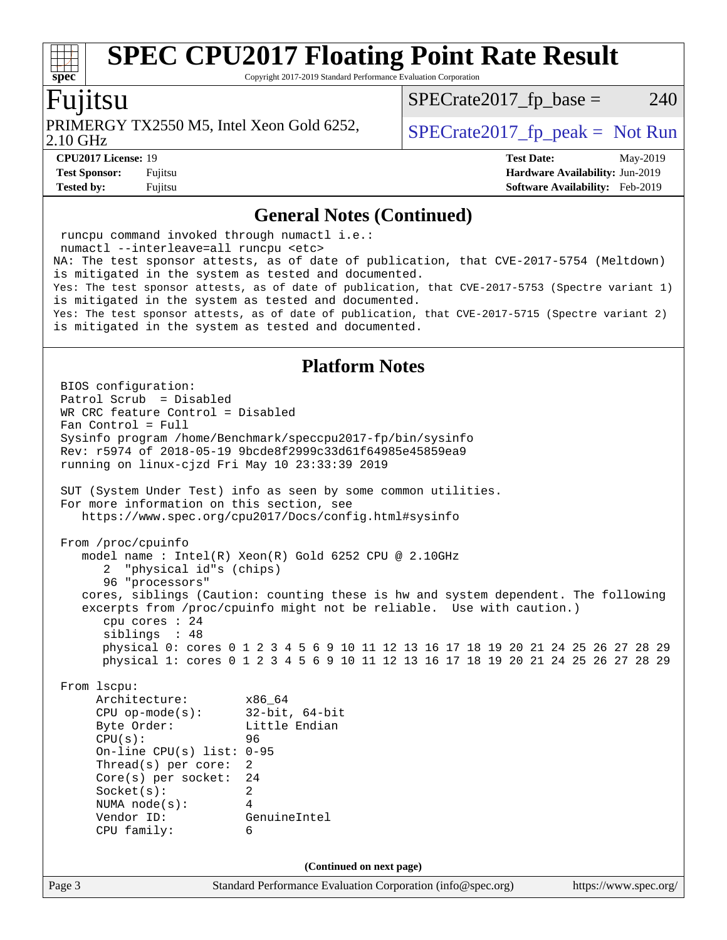Copyright 2017-2019 Standard Performance Evaluation Corporation

### Fujitsu

**[spec](http://www.spec.org/)**

2.10 GHz PRIMERGY TX2550 M5, Intel Xeon Gold 6252,  $\vert$  [SPECrate2017\\_fp\\_peak =](http://www.spec.org/auto/cpu2017/Docs/result-fields.html#SPECrate2017fppeak) Not Run

 $SPECTate2017<sub>fr</sub> base = 240$ 

**[Tested by:](http://www.spec.org/auto/cpu2017/Docs/result-fields.html#Testedby)** Fujitsu **[Software Availability:](http://www.spec.org/auto/cpu2017/Docs/result-fields.html#SoftwareAvailability)** Feb-2019

**[CPU2017 License:](http://www.spec.org/auto/cpu2017/Docs/result-fields.html#CPU2017License)** 19 **[Test Date:](http://www.spec.org/auto/cpu2017/Docs/result-fields.html#TestDate)** May-2019 **[Test Sponsor:](http://www.spec.org/auto/cpu2017/Docs/result-fields.html#TestSponsor)** Fujitsu **[Hardware Availability:](http://www.spec.org/auto/cpu2017/Docs/result-fields.html#HardwareAvailability)** Jun-2019

#### **[General Notes \(Continued\)](http://www.spec.org/auto/cpu2017/Docs/result-fields.html#GeneralNotes)**

Page 3 Standard Performance Evaluation Corporation [\(info@spec.org\)](mailto:info@spec.org) <https://www.spec.org/> runcpu command invoked through numactl i.e.: numactl --interleave=all runcpu <etc> NA: The test sponsor attests, as of date of publication, that CVE-2017-5754 (Meltdown) is mitigated in the system as tested and documented. Yes: The test sponsor attests, as of date of publication, that CVE-2017-5753 (Spectre variant 1) is mitigated in the system as tested and documented. Yes: The test sponsor attests, as of date of publication, that CVE-2017-5715 (Spectre variant 2) is mitigated in the system as tested and documented. **[Platform Notes](http://www.spec.org/auto/cpu2017/Docs/result-fields.html#PlatformNotes)** BIOS configuration: Patrol Scrub = Disabled WR CRC feature Control = Disabled Fan Control = Full Sysinfo program /home/Benchmark/speccpu2017-fp/bin/sysinfo Rev: r5974 of 2018-05-19 9bcde8f2999c33d61f64985e45859ea9 running on linux-cjzd Fri May 10 23:33:39 2019 SUT (System Under Test) info as seen by some common utilities. For more information on this section, see <https://www.spec.org/cpu2017/Docs/config.html#sysinfo> From /proc/cpuinfo model name : Intel(R) Xeon(R) Gold 6252 CPU @ 2.10GHz 2 "physical id"s (chips) 96 "processors" cores, siblings (Caution: counting these is hw and system dependent. The following excerpts from /proc/cpuinfo might not be reliable. Use with caution.) cpu cores : 24 siblings : 48 physical 0: cores 0 1 2 3 4 5 6 9 10 11 12 13 16 17 18 19 20 21 24 25 26 27 28 29 physical 1: cores 0 1 2 3 4 5 6 9 10 11 12 13 16 17 18 19 20 21 24 25 26 27 28 29 From lscpu: Architecture: x86\_64 CPU op-mode(s): 32-bit, 64-bit Byte Order: Little Endian CPU(s): 96 On-line CPU(s) list: 0-95 Thread(s) per core: 2 Core(s) per socket: 24 Socket(s): 2 NUMA node(s): 4 Vendor ID: GenuineIntel CPU family: 6 **(Continued on next page)**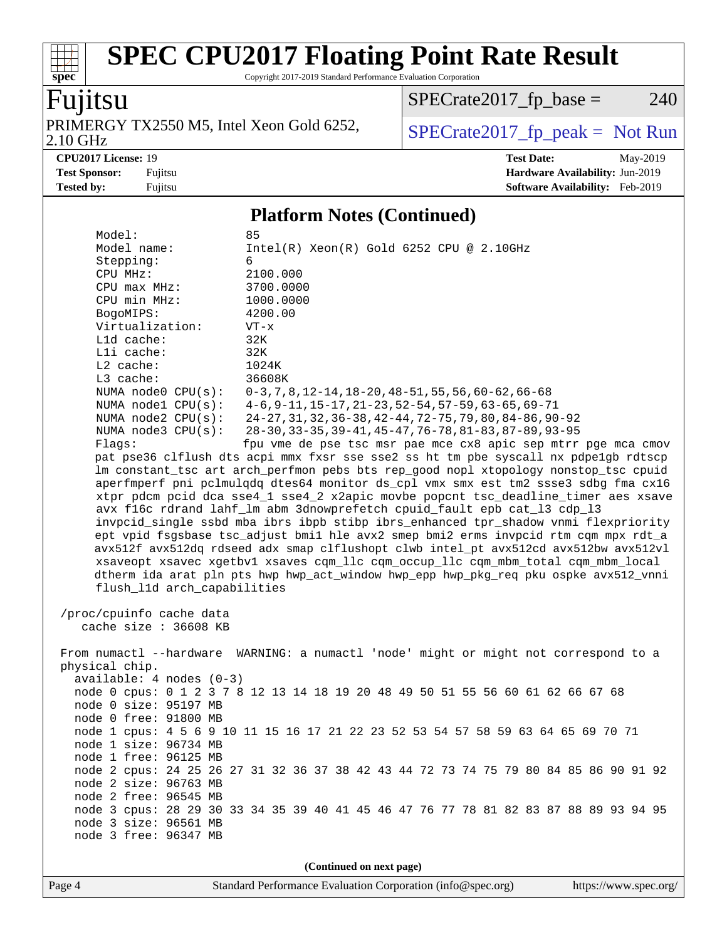Copyright 2017-2019 Standard Performance Evaluation Corporation

## Fujitsu

**[spec](http://www.spec.org/)**

2.10 GHz PRIMERGY TX2550 M5, Intel Xeon Gold 6252,  $\big|$  [SPECrate2017\\_fp\\_peak =](http://www.spec.org/auto/cpu2017/Docs/result-fields.html#SPECrate2017fppeak) Not Run

 $SPECrate2017_fp\_base = 240$ 

**[CPU2017 License:](http://www.spec.org/auto/cpu2017/Docs/result-fields.html#CPU2017License)** 19 **[Test Date:](http://www.spec.org/auto/cpu2017/Docs/result-fields.html#TestDate)** May-2019 **[Test Sponsor:](http://www.spec.org/auto/cpu2017/Docs/result-fields.html#TestSponsor)** Fujitsu **[Hardware Availability:](http://www.spec.org/auto/cpu2017/Docs/result-fields.html#HardwareAvailability)** Jun-2019 **[Tested by:](http://www.spec.org/auto/cpu2017/Docs/result-fields.html#Testedby)** Fujitsu **Fugital Example 2019 [Software Availability:](http://www.spec.org/auto/cpu2017/Docs/result-fields.html#SoftwareAvailability)** Feb-2019

#### **[Platform Notes \(Continued\)](http://www.spec.org/auto/cpu2017/Docs/result-fields.html#PlatformNotes)**

| Model name:<br>$Intel(R)$ Xeon $(R)$ Gold 6252 CPU @ 2.10GHz<br>Stepping:<br>6<br>CPU MHz:<br>2100.000<br>CPU max MHz:<br>3700.0000<br>CPU min MHz:<br>1000.0000<br>BogoMIPS:<br>4200.00<br>Virtualization:<br>$VT - x$<br>32K<br>L1d cache:<br>Lli cache:<br>32K<br>$L2$ cache:<br>1024K<br>L3 cache:<br>36608K<br>NUMA node0 CPU(s):<br>$0-3, 7, 8, 12-14, 18-20, 48-51, 55, 56, 60-62, 66-68$<br>NUMA $node1$ $CPU(s):$<br>$4-6$ , $9-11$ , $15-17$ , $21-23$ , $52-54$ , $57-59$ , $63-65$ , $69-71$<br>24-27, 31, 32, 36-38, 42-44, 72-75, 79, 80, 84-86, 90-92<br>NUMA $node2$ $CPU(s):$<br>28-30, 33-35, 39-41, 45-47, 76-78, 81-83, 87-89, 93-95<br>NUMA $node3$ $CPU(s):$<br>fpu vme de pse tsc msr pae mce cx8 apic sep mtrr pge mca cmov<br>Flags:<br>pat pse36 clflush dts acpi mmx fxsr sse sse2 ss ht tm pbe syscall nx pdpelgb rdtscp<br>lm constant_tsc art arch_perfmon pebs bts rep_good nopl xtopology nonstop_tsc cpuid<br>aperfmperf pni pclmulqdq dtes64 monitor ds_cpl vmx smx est tm2 ssse3 sdbg fma cx16<br>xtpr pdcm pcid dca sse4 1 sse4 2 x2apic movbe popcnt tsc deadline timer aes xsave<br>avx f16c rdrand lahf_lm abm 3dnowprefetch cpuid_fault epb cat_13 cdp_13<br>invpcid_single ssbd mba ibrs ibpb stibp ibrs_enhanced tpr_shadow vnmi flexpriority<br>ept vpid fsgsbase tsc_adjust bmil hle avx2 smep bmi2 erms invpcid rtm cqm mpx rdt_a<br>avx512f avx512dq rdseed adx smap clflushopt clwb intel_pt avx512cd avx512bw avx512vl<br>xsaveopt xsavec xgetbvl xsaves cqm_llc cqm_occup_llc cqm_mbm_total cqm_mbm_local<br>dtherm ida arat pln pts hwp hwp_act_window hwp_epp hwp_pkg_req pku ospke avx512_vnni<br>flush_11d arch_capabilities<br>/proc/cpuinfo cache data<br>cache size : 36608 KB<br>From numactl --hardware WARNING: a numactl 'node' might or might not correspond to a<br>physical chip.<br>$available: 4 nodes (0-3)$<br>node 0 cpus: 0 1 2 3 7 8 12 13 14 18 19 20 48 49 50 51 55 56 60 61 62 66 67 68<br>node 0 size: 95197 MB<br>node 0 free: 91800 MB<br>node 1 cpus: 4 5 6 9 10 11 15 16 17 21 22 23 52 53 54 57 58 59 63 64 65 69 70 71<br>node 1 size: 96734 MB<br>node 1 free: 96125 MB<br>node 2 cpus: 24 25 26 27 31 32 36 37 38 42 43 44 72 73 74 75 79 80 84 85 86 90 91 92<br>node 2 size: 96763 MB<br>node 2 free: 96545 MB<br>node 3 cpus: 28 29 30 33 34 35 39 40 41 45 46 47 76 77 78 81 82 83 87 88 89 93 94 95<br>node 3 size: 96561 MB<br>node 3 free: 96347 MB | Model:                   | 85 |  |  |  |  |  |
|----------------------------------------------------------------------------------------------------------------------------------------------------------------------------------------------------------------------------------------------------------------------------------------------------------------------------------------------------------------------------------------------------------------------------------------------------------------------------------------------------------------------------------------------------------------------------------------------------------------------------------------------------------------------------------------------------------------------------------------------------------------------------------------------------------------------------------------------------------------------------------------------------------------------------------------------------------------------------------------------------------------------------------------------------------------------------------------------------------------------------------------------------------------------------------------------------------------------------------------------------------------------------------------------------------------------------------------------------------------------------------------------------------------------------------------------------------------------------------------------------------------------------------------------------------------------------------------------------------------------------------------------------------------------------------------------------------------------------------------------------------------------------------------------------------------------------------------------------------------------------------------------------------------------------------------------------------------------------------------------------------------------------------------------------------------------------------------------------------------------------------------------------------------------------------------------------------------------------------------------------------------------------------------------------------------------------------------------------------------------------------------------------------------------------------------------|--------------------------|----|--|--|--|--|--|
|                                                                                                                                                                                                                                                                                                                                                                                                                                                                                                                                                                                                                                                                                                                                                                                                                                                                                                                                                                                                                                                                                                                                                                                                                                                                                                                                                                                                                                                                                                                                                                                                                                                                                                                                                                                                                                                                                                                                                                                                                                                                                                                                                                                                                                                                                                                                                                                                                                              |                          |    |  |  |  |  |  |
|                                                                                                                                                                                                                                                                                                                                                                                                                                                                                                                                                                                                                                                                                                                                                                                                                                                                                                                                                                                                                                                                                                                                                                                                                                                                                                                                                                                                                                                                                                                                                                                                                                                                                                                                                                                                                                                                                                                                                                                                                                                                                                                                                                                                                                                                                                                                                                                                                                              |                          |    |  |  |  |  |  |
|                                                                                                                                                                                                                                                                                                                                                                                                                                                                                                                                                                                                                                                                                                                                                                                                                                                                                                                                                                                                                                                                                                                                                                                                                                                                                                                                                                                                                                                                                                                                                                                                                                                                                                                                                                                                                                                                                                                                                                                                                                                                                                                                                                                                                                                                                                                                                                                                                                              |                          |    |  |  |  |  |  |
|                                                                                                                                                                                                                                                                                                                                                                                                                                                                                                                                                                                                                                                                                                                                                                                                                                                                                                                                                                                                                                                                                                                                                                                                                                                                                                                                                                                                                                                                                                                                                                                                                                                                                                                                                                                                                                                                                                                                                                                                                                                                                                                                                                                                                                                                                                                                                                                                                                              |                          |    |  |  |  |  |  |
|                                                                                                                                                                                                                                                                                                                                                                                                                                                                                                                                                                                                                                                                                                                                                                                                                                                                                                                                                                                                                                                                                                                                                                                                                                                                                                                                                                                                                                                                                                                                                                                                                                                                                                                                                                                                                                                                                                                                                                                                                                                                                                                                                                                                                                                                                                                                                                                                                                              |                          |    |  |  |  |  |  |
|                                                                                                                                                                                                                                                                                                                                                                                                                                                                                                                                                                                                                                                                                                                                                                                                                                                                                                                                                                                                                                                                                                                                                                                                                                                                                                                                                                                                                                                                                                                                                                                                                                                                                                                                                                                                                                                                                                                                                                                                                                                                                                                                                                                                                                                                                                                                                                                                                                              |                          |    |  |  |  |  |  |
|                                                                                                                                                                                                                                                                                                                                                                                                                                                                                                                                                                                                                                                                                                                                                                                                                                                                                                                                                                                                                                                                                                                                                                                                                                                                                                                                                                                                                                                                                                                                                                                                                                                                                                                                                                                                                                                                                                                                                                                                                                                                                                                                                                                                                                                                                                                                                                                                                                              |                          |    |  |  |  |  |  |
|                                                                                                                                                                                                                                                                                                                                                                                                                                                                                                                                                                                                                                                                                                                                                                                                                                                                                                                                                                                                                                                                                                                                                                                                                                                                                                                                                                                                                                                                                                                                                                                                                                                                                                                                                                                                                                                                                                                                                                                                                                                                                                                                                                                                                                                                                                                                                                                                                                              |                          |    |  |  |  |  |  |
|                                                                                                                                                                                                                                                                                                                                                                                                                                                                                                                                                                                                                                                                                                                                                                                                                                                                                                                                                                                                                                                                                                                                                                                                                                                                                                                                                                                                                                                                                                                                                                                                                                                                                                                                                                                                                                                                                                                                                                                                                                                                                                                                                                                                                                                                                                                                                                                                                                              |                          |    |  |  |  |  |  |
|                                                                                                                                                                                                                                                                                                                                                                                                                                                                                                                                                                                                                                                                                                                                                                                                                                                                                                                                                                                                                                                                                                                                                                                                                                                                                                                                                                                                                                                                                                                                                                                                                                                                                                                                                                                                                                                                                                                                                                                                                                                                                                                                                                                                                                                                                                                                                                                                                                              |                          |    |  |  |  |  |  |
|                                                                                                                                                                                                                                                                                                                                                                                                                                                                                                                                                                                                                                                                                                                                                                                                                                                                                                                                                                                                                                                                                                                                                                                                                                                                                                                                                                                                                                                                                                                                                                                                                                                                                                                                                                                                                                                                                                                                                                                                                                                                                                                                                                                                                                                                                                                                                                                                                                              |                          |    |  |  |  |  |  |
|                                                                                                                                                                                                                                                                                                                                                                                                                                                                                                                                                                                                                                                                                                                                                                                                                                                                                                                                                                                                                                                                                                                                                                                                                                                                                                                                                                                                                                                                                                                                                                                                                                                                                                                                                                                                                                                                                                                                                                                                                                                                                                                                                                                                                                                                                                                                                                                                                                              |                          |    |  |  |  |  |  |
|                                                                                                                                                                                                                                                                                                                                                                                                                                                                                                                                                                                                                                                                                                                                                                                                                                                                                                                                                                                                                                                                                                                                                                                                                                                                                                                                                                                                                                                                                                                                                                                                                                                                                                                                                                                                                                                                                                                                                                                                                                                                                                                                                                                                                                                                                                                                                                                                                                              |                          |    |  |  |  |  |  |
|                                                                                                                                                                                                                                                                                                                                                                                                                                                                                                                                                                                                                                                                                                                                                                                                                                                                                                                                                                                                                                                                                                                                                                                                                                                                                                                                                                                                                                                                                                                                                                                                                                                                                                                                                                                                                                                                                                                                                                                                                                                                                                                                                                                                                                                                                                                                                                                                                                              |                          |    |  |  |  |  |  |
|                                                                                                                                                                                                                                                                                                                                                                                                                                                                                                                                                                                                                                                                                                                                                                                                                                                                                                                                                                                                                                                                                                                                                                                                                                                                                                                                                                                                                                                                                                                                                                                                                                                                                                                                                                                                                                                                                                                                                                                                                                                                                                                                                                                                                                                                                                                                                                                                                                              |                          |    |  |  |  |  |  |
|                                                                                                                                                                                                                                                                                                                                                                                                                                                                                                                                                                                                                                                                                                                                                                                                                                                                                                                                                                                                                                                                                                                                                                                                                                                                                                                                                                                                                                                                                                                                                                                                                                                                                                                                                                                                                                                                                                                                                                                                                                                                                                                                                                                                                                                                                                                                                                                                                                              |                          |    |  |  |  |  |  |
|                                                                                                                                                                                                                                                                                                                                                                                                                                                                                                                                                                                                                                                                                                                                                                                                                                                                                                                                                                                                                                                                                                                                                                                                                                                                                                                                                                                                                                                                                                                                                                                                                                                                                                                                                                                                                                                                                                                                                                                                                                                                                                                                                                                                                                                                                                                                                                                                                                              |                          |    |  |  |  |  |  |
|                                                                                                                                                                                                                                                                                                                                                                                                                                                                                                                                                                                                                                                                                                                                                                                                                                                                                                                                                                                                                                                                                                                                                                                                                                                                                                                                                                                                                                                                                                                                                                                                                                                                                                                                                                                                                                                                                                                                                                                                                                                                                                                                                                                                                                                                                                                                                                                                                                              |                          |    |  |  |  |  |  |
|                                                                                                                                                                                                                                                                                                                                                                                                                                                                                                                                                                                                                                                                                                                                                                                                                                                                                                                                                                                                                                                                                                                                                                                                                                                                                                                                                                                                                                                                                                                                                                                                                                                                                                                                                                                                                                                                                                                                                                                                                                                                                                                                                                                                                                                                                                                                                                                                                                              |                          |    |  |  |  |  |  |
|                                                                                                                                                                                                                                                                                                                                                                                                                                                                                                                                                                                                                                                                                                                                                                                                                                                                                                                                                                                                                                                                                                                                                                                                                                                                                                                                                                                                                                                                                                                                                                                                                                                                                                                                                                                                                                                                                                                                                                                                                                                                                                                                                                                                                                                                                                                                                                                                                                              |                          |    |  |  |  |  |  |
|                                                                                                                                                                                                                                                                                                                                                                                                                                                                                                                                                                                                                                                                                                                                                                                                                                                                                                                                                                                                                                                                                                                                                                                                                                                                                                                                                                                                                                                                                                                                                                                                                                                                                                                                                                                                                                                                                                                                                                                                                                                                                                                                                                                                                                                                                                                                                                                                                                              |                          |    |  |  |  |  |  |
|                                                                                                                                                                                                                                                                                                                                                                                                                                                                                                                                                                                                                                                                                                                                                                                                                                                                                                                                                                                                                                                                                                                                                                                                                                                                                                                                                                                                                                                                                                                                                                                                                                                                                                                                                                                                                                                                                                                                                                                                                                                                                                                                                                                                                                                                                                                                                                                                                                              |                          |    |  |  |  |  |  |
|                                                                                                                                                                                                                                                                                                                                                                                                                                                                                                                                                                                                                                                                                                                                                                                                                                                                                                                                                                                                                                                                                                                                                                                                                                                                                                                                                                                                                                                                                                                                                                                                                                                                                                                                                                                                                                                                                                                                                                                                                                                                                                                                                                                                                                                                                                                                                                                                                                              |                          |    |  |  |  |  |  |
|                                                                                                                                                                                                                                                                                                                                                                                                                                                                                                                                                                                                                                                                                                                                                                                                                                                                                                                                                                                                                                                                                                                                                                                                                                                                                                                                                                                                                                                                                                                                                                                                                                                                                                                                                                                                                                                                                                                                                                                                                                                                                                                                                                                                                                                                                                                                                                                                                                              |                          |    |  |  |  |  |  |
|                                                                                                                                                                                                                                                                                                                                                                                                                                                                                                                                                                                                                                                                                                                                                                                                                                                                                                                                                                                                                                                                                                                                                                                                                                                                                                                                                                                                                                                                                                                                                                                                                                                                                                                                                                                                                                                                                                                                                                                                                                                                                                                                                                                                                                                                                                                                                                                                                                              |                          |    |  |  |  |  |  |
|                                                                                                                                                                                                                                                                                                                                                                                                                                                                                                                                                                                                                                                                                                                                                                                                                                                                                                                                                                                                                                                                                                                                                                                                                                                                                                                                                                                                                                                                                                                                                                                                                                                                                                                                                                                                                                                                                                                                                                                                                                                                                                                                                                                                                                                                                                                                                                                                                                              |                          |    |  |  |  |  |  |
|                                                                                                                                                                                                                                                                                                                                                                                                                                                                                                                                                                                                                                                                                                                                                                                                                                                                                                                                                                                                                                                                                                                                                                                                                                                                                                                                                                                                                                                                                                                                                                                                                                                                                                                                                                                                                                                                                                                                                                                                                                                                                                                                                                                                                                                                                                                                                                                                                                              |                          |    |  |  |  |  |  |
|                                                                                                                                                                                                                                                                                                                                                                                                                                                                                                                                                                                                                                                                                                                                                                                                                                                                                                                                                                                                                                                                                                                                                                                                                                                                                                                                                                                                                                                                                                                                                                                                                                                                                                                                                                                                                                                                                                                                                                                                                                                                                                                                                                                                                                                                                                                                                                                                                                              |                          |    |  |  |  |  |  |
|                                                                                                                                                                                                                                                                                                                                                                                                                                                                                                                                                                                                                                                                                                                                                                                                                                                                                                                                                                                                                                                                                                                                                                                                                                                                                                                                                                                                                                                                                                                                                                                                                                                                                                                                                                                                                                                                                                                                                                                                                                                                                                                                                                                                                                                                                                                                                                                                                                              |                          |    |  |  |  |  |  |
|                                                                                                                                                                                                                                                                                                                                                                                                                                                                                                                                                                                                                                                                                                                                                                                                                                                                                                                                                                                                                                                                                                                                                                                                                                                                                                                                                                                                                                                                                                                                                                                                                                                                                                                                                                                                                                                                                                                                                                                                                                                                                                                                                                                                                                                                                                                                                                                                                                              |                          |    |  |  |  |  |  |
|                                                                                                                                                                                                                                                                                                                                                                                                                                                                                                                                                                                                                                                                                                                                                                                                                                                                                                                                                                                                                                                                                                                                                                                                                                                                                                                                                                                                                                                                                                                                                                                                                                                                                                                                                                                                                                                                                                                                                                                                                                                                                                                                                                                                                                                                                                                                                                                                                                              |                          |    |  |  |  |  |  |
|                                                                                                                                                                                                                                                                                                                                                                                                                                                                                                                                                                                                                                                                                                                                                                                                                                                                                                                                                                                                                                                                                                                                                                                                                                                                                                                                                                                                                                                                                                                                                                                                                                                                                                                                                                                                                                                                                                                                                                                                                                                                                                                                                                                                                                                                                                                                                                                                                                              |                          |    |  |  |  |  |  |
|                                                                                                                                                                                                                                                                                                                                                                                                                                                                                                                                                                                                                                                                                                                                                                                                                                                                                                                                                                                                                                                                                                                                                                                                                                                                                                                                                                                                                                                                                                                                                                                                                                                                                                                                                                                                                                                                                                                                                                                                                                                                                                                                                                                                                                                                                                                                                                                                                                              |                          |    |  |  |  |  |  |
|                                                                                                                                                                                                                                                                                                                                                                                                                                                                                                                                                                                                                                                                                                                                                                                                                                                                                                                                                                                                                                                                                                                                                                                                                                                                                                                                                                                                                                                                                                                                                                                                                                                                                                                                                                                                                                                                                                                                                                                                                                                                                                                                                                                                                                                                                                                                                                                                                                              |                          |    |  |  |  |  |  |
|                                                                                                                                                                                                                                                                                                                                                                                                                                                                                                                                                                                                                                                                                                                                                                                                                                                                                                                                                                                                                                                                                                                                                                                                                                                                                                                                                                                                                                                                                                                                                                                                                                                                                                                                                                                                                                                                                                                                                                                                                                                                                                                                                                                                                                                                                                                                                                                                                                              |                          |    |  |  |  |  |  |
|                                                                                                                                                                                                                                                                                                                                                                                                                                                                                                                                                                                                                                                                                                                                                                                                                                                                                                                                                                                                                                                                                                                                                                                                                                                                                                                                                                                                                                                                                                                                                                                                                                                                                                                                                                                                                                                                                                                                                                                                                                                                                                                                                                                                                                                                                                                                                                                                                                              |                          |    |  |  |  |  |  |
|                                                                                                                                                                                                                                                                                                                                                                                                                                                                                                                                                                                                                                                                                                                                                                                                                                                                                                                                                                                                                                                                                                                                                                                                                                                                                                                                                                                                                                                                                                                                                                                                                                                                                                                                                                                                                                                                                                                                                                                                                                                                                                                                                                                                                                                                                                                                                                                                                                              |                          |    |  |  |  |  |  |
|                                                                                                                                                                                                                                                                                                                                                                                                                                                                                                                                                                                                                                                                                                                                                                                                                                                                                                                                                                                                                                                                                                                                                                                                                                                                                                                                                                                                                                                                                                                                                                                                                                                                                                                                                                                                                                                                                                                                                                                                                                                                                                                                                                                                                                                                                                                                                                                                                                              |                          |    |  |  |  |  |  |
|                                                                                                                                                                                                                                                                                                                                                                                                                                                                                                                                                                                                                                                                                                                                                                                                                                                                                                                                                                                                                                                                                                                                                                                                                                                                                                                                                                                                                                                                                                                                                                                                                                                                                                                                                                                                                                                                                                                                                                                                                                                                                                                                                                                                                                                                                                                                                                                                                                              |                          |    |  |  |  |  |  |
|                                                                                                                                                                                                                                                                                                                                                                                                                                                                                                                                                                                                                                                                                                                                                                                                                                                                                                                                                                                                                                                                                                                                                                                                                                                                                                                                                                                                                                                                                                                                                                                                                                                                                                                                                                                                                                                                                                                                                                                                                                                                                                                                                                                                                                                                                                                                                                                                                                              |                          |    |  |  |  |  |  |
|                                                                                                                                                                                                                                                                                                                                                                                                                                                                                                                                                                                                                                                                                                                                                                                                                                                                                                                                                                                                                                                                                                                                                                                                                                                                                                                                                                                                                                                                                                                                                                                                                                                                                                                                                                                                                                                                                                                                                                                                                                                                                                                                                                                                                                                                                                                                                                                                                                              |                          |    |  |  |  |  |  |
|                                                                                                                                                                                                                                                                                                                                                                                                                                                                                                                                                                                                                                                                                                                                                                                                                                                                                                                                                                                                                                                                                                                                                                                                                                                                                                                                                                                                                                                                                                                                                                                                                                                                                                                                                                                                                                                                                                                                                                                                                                                                                                                                                                                                                                                                                                                                                                                                                                              |                          |    |  |  |  |  |  |
|                                                                                                                                                                                                                                                                                                                                                                                                                                                                                                                                                                                                                                                                                                                                                                                                                                                                                                                                                                                                                                                                                                                                                                                                                                                                                                                                                                                                                                                                                                                                                                                                                                                                                                                                                                                                                                                                                                                                                                                                                                                                                                                                                                                                                                                                                                                                                                                                                                              |                          |    |  |  |  |  |  |
|                                                                                                                                                                                                                                                                                                                                                                                                                                                                                                                                                                                                                                                                                                                                                                                                                                                                                                                                                                                                                                                                                                                                                                                                                                                                                                                                                                                                                                                                                                                                                                                                                                                                                                                                                                                                                                                                                                                                                                                                                                                                                                                                                                                                                                                                                                                                                                                                                                              |                          |    |  |  |  |  |  |
|                                                                                                                                                                                                                                                                                                                                                                                                                                                                                                                                                                                                                                                                                                                                                                                                                                                                                                                                                                                                                                                                                                                                                                                                                                                                                                                                                                                                                                                                                                                                                                                                                                                                                                                                                                                                                                                                                                                                                                                                                                                                                                                                                                                                                                                                                                                                                                                                                                              |                          |    |  |  |  |  |  |
|                                                                                                                                                                                                                                                                                                                                                                                                                                                                                                                                                                                                                                                                                                                                                                                                                                                                                                                                                                                                                                                                                                                                                                                                                                                                                                                                                                                                                                                                                                                                                                                                                                                                                                                                                                                                                                                                                                                                                                                                                                                                                                                                                                                                                                                                                                                                                                                                                                              |                          |    |  |  |  |  |  |
|                                                                                                                                                                                                                                                                                                                                                                                                                                                                                                                                                                                                                                                                                                                                                                                                                                                                                                                                                                                                                                                                                                                                                                                                                                                                                                                                                                                                                                                                                                                                                                                                                                                                                                                                                                                                                                                                                                                                                                                                                                                                                                                                                                                                                                                                                                                                                                                                                                              |                          |    |  |  |  |  |  |
|                                                                                                                                                                                                                                                                                                                                                                                                                                                                                                                                                                                                                                                                                                                                                                                                                                                                                                                                                                                                                                                                                                                                                                                                                                                                                                                                                                                                                                                                                                                                                                                                                                                                                                                                                                                                                                                                                                                                                                                                                                                                                                                                                                                                                                                                                                                                                                                                                                              | (Continued on next page) |    |  |  |  |  |  |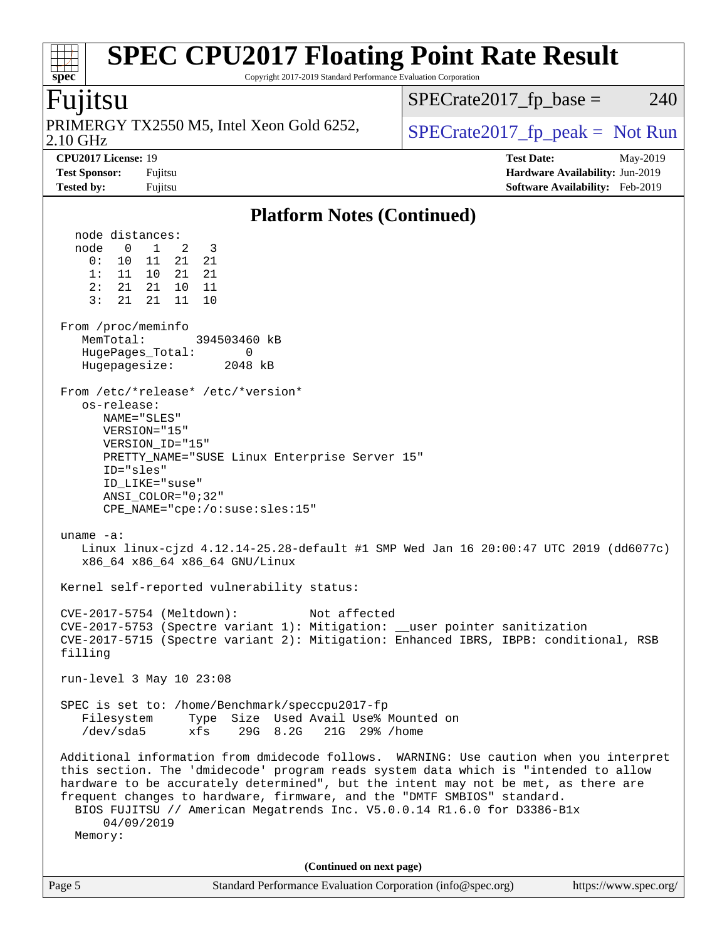| <b>SPEC CPU2017 Floating Point Rate Result</b><br>Copyright 2017-2019 Standard Performance Evaluation Corporation<br>spec <sup>®</sup>                                                                                                                                                                                                                                                                                                                                                                                                                                                                                                                                                                                                                                                                                                                                                                                                                                                                                                                                                                                                                                                                                                                                                                                                                                                                                                                                                                                                                                                  |                                                                                                            |
|-----------------------------------------------------------------------------------------------------------------------------------------------------------------------------------------------------------------------------------------------------------------------------------------------------------------------------------------------------------------------------------------------------------------------------------------------------------------------------------------------------------------------------------------------------------------------------------------------------------------------------------------------------------------------------------------------------------------------------------------------------------------------------------------------------------------------------------------------------------------------------------------------------------------------------------------------------------------------------------------------------------------------------------------------------------------------------------------------------------------------------------------------------------------------------------------------------------------------------------------------------------------------------------------------------------------------------------------------------------------------------------------------------------------------------------------------------------------------------------------------------------------------------------------------------------------------------------------|------------------------------------------------------------------------------------------------------------|
| Fujitsu                                                                                                                                                                                                                                                                                                                                                                                                                                                                                                                                                                                                                                                                                                                                                                                                                                                                                                                                                                                                                                                                                                                                                                                                                                                                                                                                                                                                                                                                                                                                                                                 | $SPECrate2017_fp\_base =$<br>240                                                                           |
| PRIMERGY TX2550 M5, Intel Xeon Gold 6252,<br>2.10 GHz                                                                                                                                                                                                                                                                                                                                                                                                                                                                                                                                                                                                                                                                                                                                                                                                                                                                                                                                                                                                                                                                                                                                                                                                                                                                                                                                                                                                                                                                                                                                   | $SPECrate2017fr peak = Not Run$                                                                            |
| CPU2017 License: 19<br><b>Test Sponsor:</b><br>Fujitsu<br><b>Tested by:</b><br>Fujitsu                                                                                                                                                                                                                                                                                                                                                                                                                                                                                                                                                                                                                                                                                                                                                                                                                                                                                                                                                                                                                                                                                                                                                                                                                                                                                                                                                                                                                                                                                                  | <b>Test Date:</b><br>May-2019<br>Hardware Availability: Jun-2019<br><b>Software Availability:</b> Feb-2019 |
| <b>Platform Notes (Continued)</b>                                                                                                                                                                                                                                                                                                                                                                                                                                                                                                                                                                                                                                                                                                                                                                                                                                                                                                                                                                                                                                                                                                                                                                                                                                                                                                                                                                                                                                                                                                                                                       |                                                                                                            |
| node distances:<br>$\mathbf{1}$<br>2<br>3<br>node<br>0<br>0:<br>10<br>11<br>21<br>21<br>1:<br>11<br>10<br>21<br>21<br>2:<br>21<br>21<br>10<br>11<br>3:<br>21<br>21<br>11<br>10<br>From /proc/meminfo<br>MemTotal:<br>394503460 kB<br>HugePages_Total:<br>0<br>Hugepagesize:<br>2048 kB<br>From /etc/*release* /etc/*version*<br>os-release:<br>NAME="SLES"<br>VERSION="15"<br>VERSION ID="15"<br>PRETTY_NAME="SUSE Linux Enterprise Server 15"<br>ID="sles"<br>ID LIKE="suse"<br>$ANSI\_COLOR = "0:32"$<br>$CPE\_NAME='cpe://o:suse: sles:15"$<br>uname $-a$ :<br>Linux linux-cjzd 4.12.14-25.28-default #1 SMP Wed Jan 16 20:00:47 UTC 2019 (dd6077c)<br>x86_64 x86_64 x86_64 GNU/Linux<br>Kernel self-reported vulnerability status:<br>Not affected<br>CVE-2017-5754 (Meltdown):<br>CVE-2017-5753 (Spectre variant 1): Mitigation: __user pointer sanitization<br>CVE-2017-5715 (Spectre variant 2): Mitigation: Enhanced IBRS, IBPB: conditional, RSB<br>filling<br>run-level 3 May 10 23:08<br>SPEC is set to: /home/Benchmark/speccpu2017-fp<br>Type Size Used Avail Use% Mounted on<br>Filesystem<br>/dev/sda5<br>29G 8.2G<br>21G 29% / home<br>xfs<br>Additional information from dmidecode follows. WARNING: Use caution when you interpret<br>this section. The 'dmidecode' program reads system data which is "intended to allow<br>hardware to be accurately determined", but the intent may not be met, as there are<br>frequent changes to hardware, firmware, and the "DMTF SMBIOS" standard.<br>BIOS FUJITSU // American Megatrends Inc. V5.0.0.14 R1.6.0 for D3386-Blx |                                                                                                            |
| 04/09/2019<br>Memory:                                                                                                                                                                                                                                                                                                                                                                                                                                                                                                                                                                                                                                                                                                                                                                                                                                                                                                                                                                                                                                                                                                                                                                                                                                                                                                                                                                                                                                                                                                                                                                   |                                                                                                            |
| (Continued on next page)                                                                                                                                                                                                                                                                                                                                                                                                                                                                                                                                                                                                                                                                                                                                                                                                                                                                                                                                                                                                                                                                                                                                                                                                                                                                                                                                                                                                                                                                                                                                                                |                                                                                                            |
| Page 5<br>Standard Performance Evaluation Corporation (info@spec.org)                                                                                                                                                                                                                                                                                                                                                                                                                                                                                                                                                                                                                                                                                                                                                                                                                                                                                                                                                                                                                                                                                                                                                                                                                                                                                                                                                                                                                                                                                                                   | https://www.spec.org/                                                                                      |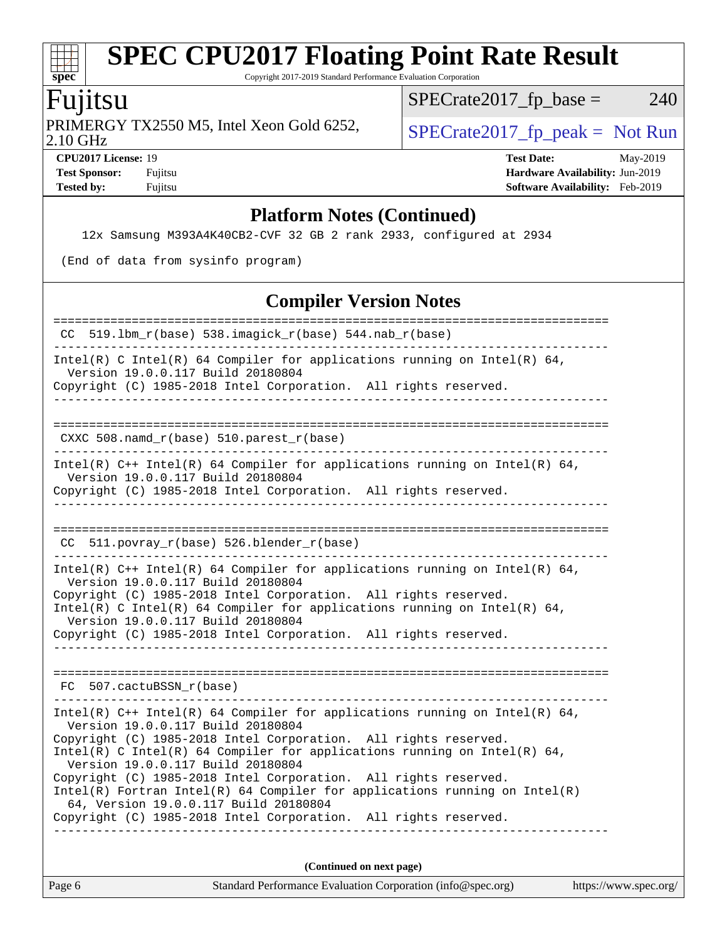Copyright 2017-2019 Standard Performance Evaluation Corporation

## Fujitsu

**[spec](http://www.spec.org/)**

 $+\ +$ 

PRIMERGY TX2550 M5, Intel Xeon Gold 6252,<br>2.10 GHz

 $SPECTate 2017_fp\_peak = Not Run$  $SPECrate2017_fp\_base = 240$ 

**[CPU2017 License:](http://www.spec.org/auto/cpu2017/Docs/result-fields.html#CPU2017License)** 19 **[Test Date:](http://www.spec.org/auto/cpu2017/Docs/result-fields.html#TestDate)** May-2019 **[Test Sponsor:](http://www.spec.org/auto/cpu2017/Docs/result-fields.html#TestSponsor)** Fujitsu **[Hardware Availability:](http://www.spec.org/auto/cpu2017/Docs/result-fields.html#HardwareAvailability)** Jun-2019 **[Tested by:](http://www.spec.org/auto/cpu2017/Docs/result-fields.html#Testedby)** Fujitsu **Fugital Example 2019 [Software Availability:](http://www.spec.org/auto/cpu2017/Docs/result-fields.html#SoftwareAvailability)** Feb-2019

#### **[Platform Notes \(Continued\)](http://www.spec.org/auto/cpu2017/Docs/result-fields.html#PlatformNotes)**

12x Samsung M393A4K40CB2-CVF 32 GB 2 rank 2933, configured at 2934

(End of data from sysinfo program)

### **[Compiler Version Notes](http://www.spec.org/auto/cpu2017/Docs/result-fields.html#CompilerVersionNotes)**

| CC 519.1bm_r(base) 538.imagick_r(base) 544.nab_r(base)                                                                                                                                                                                                                                                                                                                                                                                                                                                                                                               |  |  |  |  |
|----------------------------------------------------------------------------------------------------------------------------------------------------------------------------------------------------------------------------------------------------------------------------------------------------------------------------------------------------------------------------------------------------------------------------------------------------------------------------------------------------------------------------------------------------------------------|--|--|--|--|
| Intel(R) C Intel(R) 64 Compiler for applications running on Intel(R) 64,<br>Version 19.0.0.117 Build 20180804<br>Copyright (C) 1985-2018 Intel Corporation. All rights reserved.<br>__________________                                                                                                                                                                                                                                                                                                                                                               |  |  |  |  |
| CXXC 508.namd_r(base) 510.parest_r(base)                                                                                                                                                                                                                                                                                                                                                                                                                                                                                                                             |  |  |  |  |
| Intel(R) C++ Intel(R) 64 Compiler for applications running on Intel(R) 64,<br>Version 19.0.0.117 Build 20180804<br>Copyright (C) 1985-2018 Intel Corporation. All rights reserved.                                                                                                                                                                                                                                                                                                                                                                                   |  |  |  |  |
| CC 511.povray_r(base) 526.blender_r(base)                                                                                                                                                                                                                                                                                                                                                                                                                                                                                                                            |  |  |  |  |
| Intel(R) $C++$ Intel(R) 64 Compiler for applications running on Intel(R) 64,<br>Version 19.0.0.117 Build 20180804<br>Copyright (C) 1985-2018 Intel Corporation. All rights reserved.<br>Intel(R) C Intel(R) 64 Compiler for applications running on Intel(R) 64,<br>Version 19.0.0.117 Build 20180804<br>Copyright (C) 1985-2018 Intel Corporation. All rights reserved.<br>___________________________________                                                                                                                                                      |  |  |  |  |
| FC 507.cactuBSSN r(base)                                                                                                                                                                                                                                                                                                                                                                                                                                                                                                                                             |  |  |  |  |
| Intel(R) $C++$ Intel(R) 64 Compiler for applications running on Intel(R) 64,<br>Version 19.0.0.117 Build 20180804<br>Copyright (C) 1985-2018 Intel Corporation. All rights reserved.<br>Intel(R) C Intel(R) 64 Compiler for applications running on Intel(R) 64,<br>Version 19.0.0.117 Build 20180804<br>Copyright (C) 1985-2018 Intel Corporation. All rights reserved.<br>$Intel(R)$ Fortran Intel(R) 64 Compiler for applications running on Intel(R)<br>64, Version 19.0.0.117 Build 20180804<br>Copyright (C) 1985-2018 Intel Corporation. All rights reserved. |  |  |  |  |
| (Continued on next page)                                                                                                                                                                                                                                                                                                                                                                                                                                                                                                                                             |  |  |  |  |
| $\alpha$ , $\beta$ , $\beta$ , $\beta$ , $\alpha$ , $\beta$ , $\beta$ , $\beta$ , $\beta$ , $\beta$ , $\beta$ , $\beta$ , $\beta$ , $\beta$ , $\beta$ , $\beta$ , $\beta$ , $\beta$ , $\beta$ , $\beta$ , $\beta$ , $\beta$ , $\beta$ , $\beta$ , $\beta$ , $\beta$ , $\beta$ , $\beta$ , $\beta$ , $\beta$ , $\beta$ , $\beta$ , $\beta$ , $\beta$ , $\beta$ , $\beta$ , $\beta$ ,<br>$\mathbf{r}$ $\epsilon$                                                                                                                                                       |  |  |  |  |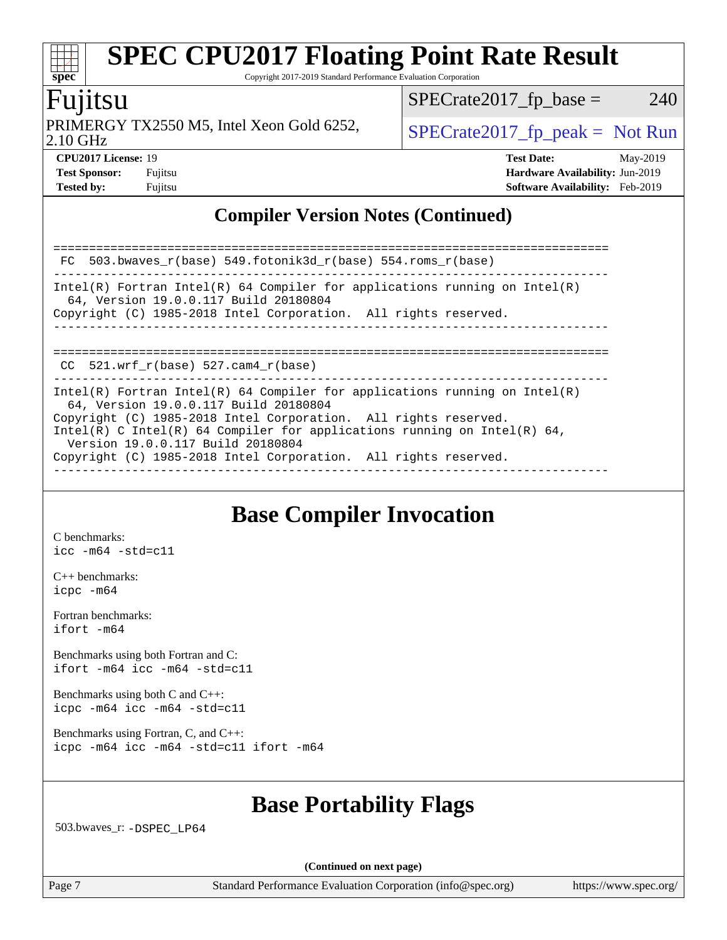Copyright 2017-2019 Standard Performance Evaluation Corporation

### Fujitsu

**[spec](http://www.spec.org/)**

 $+\ +$ 

2.10 GHz PRIMERGY TX2550 M5, Intel Xeon Gold 6252,  $\vert$  [SPECrate2017\\_fp\\_peak =](http://www.spec.org/auto/cpu2017/Docs/result-fields.html#SPECrate2017fppeak) Not Run

 $SPECTate2017_fp\_base = 240$ 

**[CPU2017 License:](http://www.spec.org/auto/cpu2017/Docs/result-fields.html#CPU2017License)** 19 **[Test Date:](http://www.spec.org/auto/cpu2017/Docs/result-fields.html#TestDate)** May-2019 **[Test Sponsor:](http://www.spec.org/auto/cpu2017/Docs/result-fields.html#TestSponsor)** Fujitsu **[Hardware Availability:](http://www.spec.org/auto/cpu2017/Docs/result-fields.html#HardwareAvailability)** Jun-2019 **[Tested by:](http://www.spec.org/auto/cpu2017/Docs/result-fields.html#Testedby)** Fujitsu **[Software Availability:](http://www.spec.org/auto/cpu2017/Docs/result-fields.html#SoftwareAvailability)** Feb-2019

### **[Compiler Version Notes \(Continued\)](http://www.spec.org/auto/cpu2017/Docs/result-fields.html#CompilerVersionNotes)**

| FC 503.bwaves $r(base)$ 549.fotonik3d $r(base)$ 554.roms $r(base)$                                                                                                                                                                                                                                                                                                         |
|----------------------------------------------------------------------------------------------------------------------------------------------------------------------------------------------------------------------------------------------------------------------------------------------------------------------------------------------------------------------------|
| Intel(R) Fortran Intel(R) 64 Compiler for applications running on Intel(R)<br>64, Version 19.0.0.117 Build 20180804<br>Copyright (C) 1985-2018 Intel Corporation. All rights reserved.                                                                                                                                                                                     |
| $CC$ 521.wrf $r(base)$ 527.cam4 $r(base)$                                                                                                                                                                                                                                                                                                                                  |
| Intel(R) Fortran Intel(R) 64 Compiler for applications running on Intel(R)<br>64, Version 19.0.0.117 Build 20180804<br>Copyright (C) 1985-2018 Intel Corporation. All rights reserved.<br>Intel(R) C Intel(R) 64 Compiler for applications running on Intel(R) 64,<br>Version 19.0.0.117 Build 20180804<br>Copyright (C) 1985-2018 Intel Corporation. All rights reserved. |

### **[Base Compiler Invocation](http://www.spec.org/auto/cpu2017/Docs/result-fields.html#BaseCompilerInvocation)**

[C benchmarks](http://www.spec.org/auto/cpu2017/Docs/result-fields.html#Cbenchmarks): [icc -m64 -std=c11](http://www.spec.org/cpu2017/results/res2019q2/cpu2017-20190527-14684.flags.html#user_CCbase_intel_icc_64bit_c11_33ee0cdaae7deeeab2a9725423ba97205ce30f63b9926c2519791662299b76a0318f32ddfffdc46587804de3178b4f9328c46fa7c2b0cd779d7a61945c91cd35)

[C++ benchmarks:](http://www.spec.org/auto/cpu2017/Docs/result-fields.html#CXXbenchmarks) [icpc -m64](http://www.spec.org/cpu2017/results/res2019q2/cpu2017-20190527-14684.flags.html#user_CXXbase_intel_icpc_64bit_4ecb2543ae3f1412ef961e0650ca070fec7b7afdcd6ed48761b84423119d1bf6bdf5cad15b44d48e7256388bc77273b966e5eb805aefd121eb22e9299b2ec9d9)

[Fortran benchmarks](http://www.spec.org/auto/cpu2017/Docs/result-fields.html#Fortranbenchmarks): [ifort -m64](http://www.spec.org/cpu2017/results/res2019q2/cpu2017-20190527-14684.flags.html#user_FCbase_intel_ifort_64bit_24f2bb282fbaeffd6157abe4f878425411749daecae9a33200eee2bee2fe76f3b89351d69a8130dd5949958ce389cf37ff59a95e7a40d588e8d3a57e0c3fd751)

[Benchmarks using both Fortran and C](http://www.spec.org/auto/cpu2017/Docs/result-fields.html#BenchmarksusingbothFortranandC): [ifort -m64](http://www.spec.org/cpu2017/results/res2019q2/cpu2017-20190527-14684.flags.html#user_CC_FCbase_intel_ifort_64bit_24f2bb282fbaeffd6157abe4f878425411749daecae9a33200eee2bee2fe76f3b89351d69a8130dd5949958ce389cf37ff59a95e7a40d588e8d3a57e0c3fd751) [icc -m64 -std=c11](http://www.spec.org/cpu2017/results/res2019q2/cpu2017-20190527-14684.flags.html#user_CC_FCbase_intel_icc_64bit_c11_33ee0cdaae7deeeab2a9725423ba97205ce30f63b9926c2519791662299b76a0318f32ddfffdc46587804de3178b4f9328c46fa7c2b0cd779d7a61945c91cd35)

[Benchmarks using both C and C++](http://www.spec.org/auto/cpu2017/Docs/result-fields.html#BenchmarksusingbothCandCXX): [icpc -m64](http://www.spec.org/cpu2017/results/res2019q2/cpu2017-20190527-14684.flags.html#user_CC_CXXbase_intel_icpc_64bit_4ecb2543ae3f1412ef961e0650ca070fec7b7afdcd6ed48761b84423119d1bf6bdf5cad15b44d48e7256388bc77273b966e5eb805aefd121eb22e9299b2ec9d9) [icc -m64 -std=c11](http://www.spec.org/cpu2017/results/res2019q2/cpu2017-20190527-14684.flags.html#user_CC_CXXbase_intel_icc_64bit_c11_33ee0cdaae7deeeab2a9725423ba97205ce30f63b9926c2519791662299b76a0318f32ddfffdc46587804de3178b4f9328c46fa7c2b0cd779d7a61945c91cd35)

[Benchmarks using Fortran, C, and C++:](http://www.spec.org/auto/cpu2017/Docs/result-fields.html#BenchmarksusingFortranCandCXX) [icpc -m64](http://www.spec.org/cpu2017/results/res2019q2/cpu2017-20190527-14684.flags.html#user_CC_CXX_FCbase_intel_icpc_64bit_4ecb2543ae3f1412ef961e0650ca070fec7b7afdcd6ed48761b84423119d1bf6bdf5cad15b44d48e7256388bc77273b966e5eb805aefd121eb22e9299b2ec9d9) [icc -m64 -std=c11](http://www.spec.org/cpu2017/results/res2019q2/cpu2017-20190527-14684.flags.html#user_CC_CXX_FCbase_intel_icc_64bit_c11_33ee0cdaae7deeeab2a9725423ba97205ce30f63b9926c2519791662299b76a0318f32ddfffdc46587804de3178b4f9328c46fa7c2b0cd779d7a61945c91cd35) [ifort -m64](http://www.spec.org/cpu2017/results/res2019q2/cpu2017-20190527-14684.flags.html#user_CC_CXX_FCbase_intel_ifort_64bit_24f2bb282fbaeffd6157abe4f878425411749daecae9a33200eee2bee2fe76f3b89351d69a8130dd5949958ce389cf37ff59a95e7a40d588e8d3a57e0c3fd751)

### **[Base Portability Flags](http://www.spec.org/auto/cpu2017/Docs/result-fields.html#BasePortabilityFlags)**

503.bwaves\_r: [-DSPEC\\_LP64](http://www.spec.org/cpu2017/results/res2019q2/cpu2017-20190527-14684.flags.html#suite_basePORTABILITY503_bwaves_r_DSPEC_LP64)

**(Continued on next page)**

Page 7 Standard Performance Evaluation Corporation [\(info@spec.org\)](mailto:info@spec.org) <https://www.spec.org/>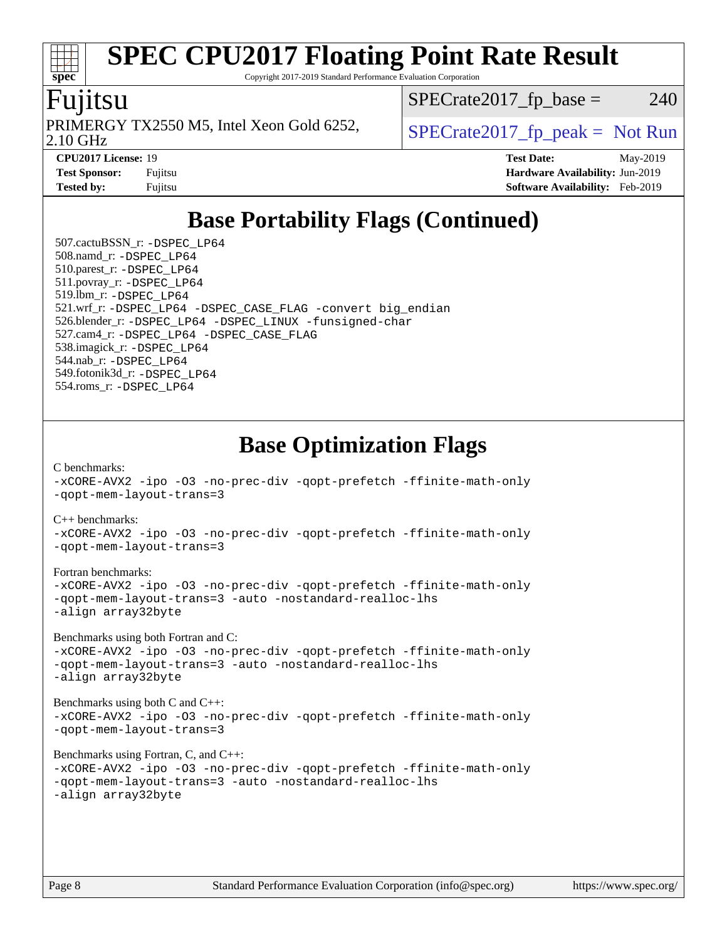Copyright 2017-2019 Standard Performance Evaluation Corporation

### Fujitsu

**[spec](http://www.spec.org/)**

2.10 GHz PRIMERGY TX2550 M5, Intel Xeon Gold 6252,  $\vert$  [SPECrate2017\\_fp\\_peak =](http://www.spec.org/auto/cpu2017/Docs/result-fields.html#SPECrate2017fppeak) Not Run

 $SPECTate2017<sub>fr</sub> base = 240$ 

**[CPU2017 License:](http://www.spec.org/auto/cpu2017/Docs/result-fields.html#CPU2017License)** 19 **[Test Date:](http://www.spec.org/auto/cpu2017/Docs/result-fields.html#TestDate)** May-2019 **[Test Sponsor:](http://www.spec.org/auto/cpu2017/Docs/result-fields.html#TestSponsor)** Fujitsu **[Hardware Availability:](http://www.spec.org/auto/cpu2017/Docs/result-fields.html#HardwareAvailability)** Jun-2019 **[Tested by:](http://www.spec.org/auto/cpu2017/Docs/result-fields.html#Testedby)** Fujitsu **[Software Availability:](http://www.spec.org/auto/cpu2017/Docs/result-fields.html#SoftwareAvailability)** Feb-2019

## **[Base Portability Flags \(Continued\)](http://www.spec.org/auto/cpu2017/Docs/result-fields.html#BasePortabilityFlags)**

 507.cactuBSSN\_r: [-DSPEC\\_LP64](http://www.spec.org/cpu2017/results/res2019q2/cpu2017-20190527-14684.flags.html#suite_basePORTABILITY507_cactuBSSN_r_DSPEC_LP64) 508.namd\_r: [-DSPEC\\_LP64](http://www.spec.org/cpu2017/results/res2019q2/cpu2017-20190527-14684.flags.html#suite_basePORTABILITY508_namd_r_DSPEC_LP64) 510.parest\_r: [-DSPEC\\_LP64](http://www.spec.org/cpu2017/results/res2019q2/cpu2017-20190527-14684.flags.html#suite_basePORTABILITY510_parest_r_DSPEC_LP64) 511.povray\_r: [-DSPEC\\_LP64](http://www.spec.org/cpu2017/results/res2019q2/cpu2017-20190527-14684.flags.html#suite_basePORTABILITY511_povray_r_DSPEC_LP64) 519.lbm\_r: [-DSPEC\\_LP64](http://www.spec.org/cpu2017/results/res2019q2/cpu2017-20190527-14684.flags.html#suite_basePORTABILITY519_lbm_r_DSPEC_LP64) 521.wrf\_r: [-DSPEC\\_LP64](http://www.spec.org/cpu2017/results/res2019q2/cpu2017-20190527-14684.flags.html#suite_basePORTABILITY521_wrf_r_DSPEC_LP64) [-DSPEC\\_CASE\\_FLAG](http://www.spec.org/cpu2017/results/res2019q2/cpu2017-20190527-14684.flags.html#b521.wrf_r_baseCPORTABILITY_DSPEC_CASE_FLAG) [-convert big\\_endian](http://www.spec.org/cpu2017/results/res2019q2/cpu2017-20190527-14684.flags.html#user_baseFPORTABILITY521_wrf_r_convert_big_endian_c3194028bc08c63ac5d04de18c48ce6d347e4e562e8892b8bdbdc0214820426deb8554edfa529a3fb25a586e65a3d812c835984020483e7e73212c4d31a38223) 526.blender\_r: [-DSPEC\\_LP64](http://www.spec.org/cpu2017/results/res2019q2/cpu2017-20190527-14684.flags.html#suite_basePORTABILITY526_blender_r_DSPEC_LP64) [-DSPEC\\_LINUX](http://www.spec.org/cpu2017/results/res2019q2/cpu2017-20190527-14684.flags.html#b526.blender_r_baseCPORTABILITY_DSPEC_LINUX) [-funsigned-char](http://www.spec.org/cpu2017/results/res2019q2/cpu2017-20190527-14684.flags.html#user_baseCPORTABILITY526_blender_r_force_uchar_40c60f00ab013830e2dd6774aeded3ff59883ba5a1fc5fc14077f794d777847726e2a5858cbc7672e36e1b067e7e5c1d9a74f7176df07886a243d7cc18edfe67) 527.cam4\_r: [-DSPEC\\_LP64](http://www.spec.org/cpu2017/results/res2019q2/cpu2017-20190527-14684.flags.html#suite_basePORTABILITY527_cam4_r_DSPEC_LP64) [-DSPEC\\_CASE\\_FLAG](http://www.spec.org/cpu2017/results/res2019q2/cpu2017-20190527-14684.flags.html#b527.cam4_r_baseCPORTABILITY_DSPEC_CASE_FLAG) 538.imagick\_r: [-DSPEC\\_LP64](http://www.spec.org/cpu2017/results/res2019q2/cpu2017-20190527-14684.flags.html#suite_basePORTABILITY538_imagick_r_DSPEC_LP64) 544.nab\_r: [-DSPEC\\_LP64](http://www.spec.org/cpu2017/results/res2019q2/cpu2017-20190527-14684.flags.html#suite_basePORTABILITY544_nab_r_DSPEC_LP64) 549.fotonik3d\_r: [-DSPEC\\_LP64](http://www.spec.org/cpu2017/results/res2019q2/cpu2017-20190527-14684.flags.html#suite_basePORTABILITY549_fotonik3d_r_DSPEC_LP64) 554.roms\_r: [-DSPEC\\_LP64](http://www.spec.org/cpu2017/results/res2019q2/cpu2017-20190527-14684.flags.html#suite_basePORTABILITY554_roms_r_DSPEC_LP64)

## **[Base Optimization Flags](http://www.spec.org/auto/cpu2017/Docs/result-fields.html#BaseOptimizationFlags)**

[C benchmarks](http://www.spec.org/auto/cpu2017/Docs/result-fields.html#Cbenchmarks): [-xCORE-AVX2](http://www.spec.org/cpu2017/results/res2019q2/cpu2017-20190527-14684.flags.html#user_CCbase_f-xCORE-AVX2) [-ipo](http://www.spec.org/cpu2017/results/res2019q2/cpu2017-20190527-14684.flags.html#user_CCbase_f-ipo) [-O3](http://www.spec.org/cpu2017/results/res2019q2/cpu2017-20190527-14684.flags.html#user_CCbase_f-O3) [-no-prec-div](http://www.spec.org/cpu2017/results/res2019q2/cpu2017-20190527-14684.flags.html#user_CCbase_f-no-prec-div) [-qopt-prefetch](http://www.spec.org/cpu2017/results/res2019q2/cpu2017-20190527-14684.flags.html#user_CCbase_f-qopt-prefetch) [-ffinite-math-only](http://www.spec.org/cpu2017/results/res2019q2/cpu2017-20190527-14684.flags.html#user_CCbase_f_finite_math_only_cb91587bd2077682c4b38af759c288ed7c732db004271a9512da14a4f8007909a5f1427ecbf1a0fb78ff2a814402c6114ac565ca162485bbcae155b5e4258871) [-qopt-mem-layout-trans=3](http://www.spec.org/cpu2017/results/res2019q2/cpu2017-20190527-14684.flags.html#user_CCbase_f-qopt-mem-layout-trans_de80db37974c74b1f0e20d883f0b675c88c3b01e9d123adea9b28688d64333345fb62bc4a798493513fdb68f60282f9a726aa07f478b2f7113531aecce732043) [C++ benchmarks:](http://www.spec.org/auto/cpu2017/Docs/result-fields.html#CXXbenchmarks) [-xCORE-AVX2](http://www.spec.org/cpu2017/results/res2019q2/cpu2017-20190527-14684.flags.html#user_CXXbase_f-xCORE-AVX2) [-ipo](http://www.spec.org/cpu2017/results/res2019q2/cpu2017-20190527-14684.flags.html#user_CXXbase_f-ipo) [-O3](http://www.spec.org/cpu2017/results/res2019q2/cpu2017-20190527-14684.flags.html#user_CXXbase_f-O3) [-no-prec-div](http://www.spec.org/cpu2017/results/res2019q2/cpu2017-20190527-14684.flags.html#user_CXXbase_f-no-prec-div) [-qopt-prefetch](http://www.spec.org/cpu2017/results/res2019q2/cpu2017-20190527-14684.flags.html#user_CXXbase_f-qopt-prefetch) [-ffinite-math-only](http://www.spec.org/cpu2017/results/res2019q2/cpu2017-20190527-14684.flags.html#user_CXXbase_f_finite_math_only_cb91587bd2077682c4b38af759c288ed7c732db004271a9512da14a4f8007909a5f1427ecbf1a0fb78ff2a814402c6114ac565ca162485bbcae155b5e4258871)

[Fortran benchmarks](http://www.spec.org/auto/cpu2017/Docs/result-fields.html#Fortranbenchmarks):

[-xCORE-AVX2](http://www.spec.org/cpu2017/results/res2019q2/cpu2017-20190527-14684.flags.html#user_FCbase_f-xCORE-AVX2) [-ipo](http://www.spec.org/cpu2017/results/res2019q2/cpu2017-20190527-14684.flags.html#user_FCbase_f-ipo) [-O3](http://www.spec.org/cpu2017/results/res2019q2/cpu2017-20190527-14684.flags.html#user_FCbase_f-O3) [-no-prec-div](http://www.spec.org/cpu2017/results/res2019q2/cpu2017-20190527-14684.flags.html#user_FCbase_f-no-prec-div) [-qopt-prefetch](http://www.spec.org/cpu2017/results/res2019q2/cpu2017-20190527-14684.flags.html#user_FCbase_f-qopt-prefetch) [-ffinite-math-only](http://www.spec.org/cpu2017/results/res2019q2/cpu2017-20190527-14684.flags.html#user_FCbase_f_finite_math_only_cb91587bd2077682c4b38af759c288ed7c732db004271a9512da14a4f8007909a5f1427ecbf1a0fb78ff2a814402c6114ac565ca162485bbcae155b5e4258871) [-qopt-mem-layout-trans=3](http://www.spec.org/cpu2017/results/res2019q2/cpu2017-20190527-14684.flags.html#user_FCbase_f-qopt-mem-layout-trans_de80db37974c74b1f0e20d883f0b675c88c3b01e9d123adea9b28688d64333345fb62bc4a798493513fdb68f60282f9a726aa07f478b2f7113531aecce732043) [-auto](http://www.spec.org/cpu2017/results/res2019q2/cpu2017-20190527-14684.flags.html#user_FCbase_f-auto) [-nostandard-realloc-lhs](http://www.spec.org/cpu2017/results/res2019q2/cpu2017-20190527-14684.flags.html#user_FCbase_f_2003_std_realloc_82b4557e90729c0f113870c07e44d33d6f5a304b4f63d4c15d2d0f1fab99f5daaed73bdb9275d9ae411527f28b936061aa8b9c8f2d63842963b95c9dd6426b8a) [-align array32byte](http://www.spec.org/cpu2017/results/res2019q2/cpu2017-20190527-14684.flags.html#user_FCbase_align_array32byte_b982fe038af199962ba9a80c053b8342c548c85b40b8e86eb3cc33dee0d7986a4af373ac2d51c3f7cf710a18d62fdce2948f201cd044323541f22fc0fffc51b6)

[Benchmarks using both Fortran and C](http://www.spec.org/auto/cpu2017/Docs/result-fields.html#BenchmarksusingbothFortranandC):

[-qopt-mem-layout-trans=3](http://www.spec.org/cpu2017/results/res2019q2/cpu2017-20190527-14684.flags.html#user_CXXbase_f-qopt-mem-layout-trans_de80db37974c74b1f0e20d883f0b675c88c3b01e9d123adea9b28688d64333345fb62bc4a798493513fdb68f60282f9a726aa07f478b2f7113531aecce732043)

[-xCORE-AVX2](http://www.spec.org/cpu2017/results/res2019q2/cpu2017-20190527-14684.flags.html#user_CC_FCbase_f-xCORE-AVX2) [-ipo](http://www.spec.org/cpu2017/results/res2019q2/cpu2017-20190527-14684.flags.html#user_CC_FCbase_f-ipo) [-O3](http://www.spec.org/cpu2017/results/res2019q2/cpu2017-20190527-14684.flags.html#user_CC_FCbase_f-O3) [-no-prec-div](http://www.spec.org/cpu2017/results/res2019q2/cpu2017-20190527-14684.flags.html#user_CC_FCbase_f-no-prec-div) [-qopt-prefetch](http://www.spec.org/cpu2017/results/res2019q2/cpu2017-20190527-14684.flags.html#user_CC_FCbase_f-qopt-prefetch) [-ffinite-math-only](http://www.spec.org/cpu2017/results/res2019q2/cpu2017-20190527-14684.flags.html#user_CC_FCbase_f_finite_math_only_cb91587bd2077682c4b38af759c288ed7c732db004271a9512da14a4f8007909a5f1427ecbf1a0fb78ff2a814402c6114ac565ca162485bbcae155b5e4258871) [-qopt-mem-layout-trans=3](http://www.spec.org/cpu2017/results/res2019q2/cpu2017-20190527-14684.flags.html#user_CC_FCbase_f-qopt-mem-layout-trans_de80db37974c74b1f0e20d883f0b675c88c3b01e9d123adea9b28688d64333345fb62bc4a798493513fdb68f60282f9a726aa07f478b2f7113531aecce732043) [-auto](http://www.spec.org/cpu2017/results/res2019q2/cpu2017-20190527-14684.flags.html#user_CC_FCbase_f-auto) [-nostandard-realloc-lhs](http://www.spec.org/cpu2017/results/res2019q2/cpu2017-20190527-14684.flags.html#user_CC_FCbase_f_2003_std_realloc_82b4557e90729c0f113870c07e44d33d6f5a304b4f63d4c15d2d0f1fab99f5daaed73bdb9275d9ae411527f28b936061aa8b9c8f2d63842963b95c9dd6426b8a) [-align array32byte](http://www.spec.org/cpu2017/results/res2019q2/cpu2017-20190527-14684.flags.html#user_CC_FCbase_align_array32byte_b982fe038af199962ba9a80c053b8342c548c85b40b8e86eb3cc33dee0d7986a4af373ac2d51c3f7cf710a18d62fdce2948f201cd044323541f22fc0fffc51b6)

[Benchmarks using both C and C++](http://www.spec.org/auto/cpu2017/Docs/result-fields.html#BenchmarksusingbothCandCXX): [-xCORE-AVX2](http://www.spec.org/cpu2017/results/res2019q2/cpu2017-20190527-14684.flags.html#user_CC_CXXbase_f-xCORE-AVX2) [-ipo](http://www.spec.org/cpu2017/results/res2019q2/cpu2017-20190527-14684.flags.html#user_CC_CXXbase_f-ipo) [-O3](http://www.spec.org/cpu2017/results/res2019q2/cpu2017-20190527-14684.flags.html#user_CC_CXXbase_f-O3) [-no-prec-div](http://www.spec.org/cpu2017/results/res2019q2/cpu2017-20190527-14684.flags.html#user_CC_CXXbase_f-no-prec-div) [-qopt-prefetch](http://www.spec.org/cpu2017/results/res2019q2/cpu2017-20190527-14684.flags.html#user_CC_CXXbase_f-qopt-prefetch) [-ffinite-math-only](http://www.spec.org/cpu2017/results/res2019q2/cpu2017-20190527-14684.flags.html#user_CC_CXXbase_f_finite_math_only_cb91587bd2077682c4b38af759c288ed7c732db004271a9512da14a4f8007909a5f1427ecbf1a0fb78ff2a814402c6114ac565ca162485bbcae155b5e4258871) [-qopt-mem-layout-trans=3](http://www.spec.org/cpu2017/results/res2019q2/cpu2017-20190527-14684.flags.html#user_CC_CXXbase_f-qopt-mem-layout-trans_de80db37974c74b1f0e20d883f0b675c88c3b01e9d123adea9b28688d64333345fb62bc4a798493513fdb68f60282f9a726aa07f478b2f7113531aecce732043)

[Benchmarks using Fortran, C, and C++:](http://www.spec.org/auto/cpu2017/Docs/result-fields.html#BenchmarksusingFortranCandCXX)

```
-xCORE-AVX2 -ipo -O3 -no-prec-div -qopt-prefetch -ffinite-math-only
-qopt-mem-layout-trans=3 -auto -nostandard-realloc-lhs
-align array32byte
```